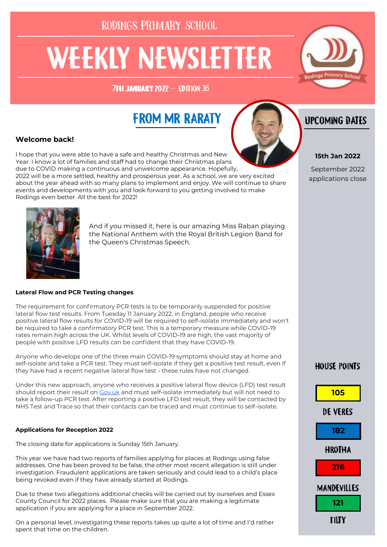# **WEEKLY NEWSLETTER**

**7TH JANUARY 2022 - EDITION 16** 



# **FROM MR RARATY**



I hope that you were able to have a safe and healthy Christmas and New Year. I know a lot of families and staff had to change their Christmas plans due to COVID making a continuous and unwelcome appearance. Hopefully, 2022 will be a more settled, healthy and prosperous year. As a school, we are very excited about the year ahead with so many plans to implement and enjoy. We will continue to share events and developments with you and look forward to you getting involved to make Rodings even better. All the best for 2022!



## **Lateral Flow and PCR Testing changes**

The requirement for confirmatory PCR tests is to be temporarily suspended for positive lateral flow test results. From Tuesday 11 January 2022, in England, people who receive positive lateral flow results for COVID-19 will be required to self-isolate immediately and won't be required to take a confirmatory PCR test. This is a temporary measure while COVID-19 rates remain high across the UK. Whilst levels of COVID-19 are high, the vast majority of people with positive LFD results can be confident that they have COVID-19.

Anyone who develops one of the three main COVID-19 symptoms should stay at home and self-isolate and take a PCR test. They must self-isolate if they get a positive test result, even if they have had a recent negative lateral flow test - these rules have not changed.

Under this new approach, anyone who receives a positive lateral flow device (LFD) test result should report their result on [Gov.uk](https://eur02.safelinks.protection.outlook.com/?url=https%3A%2F%2Fwww.gov.uk%2Freport-covid19-result&data=04%7C01%7C%7Cccf7409e6a44403aa6eb08d9d11ba0c0%7Ca8b4324f155c4215a0f17ed8cc9a992f%7C0%7C0%7C637770739036783137%7CUnknown%7CTWFpbGZsb3d8eyJWIjoiMC4wLjAwMDA) and must self-isolate immediately but will not need to take a follow-up PCR test. After reporting a positive LFD test result, they will be contacted by NHS Test and Trace so that their contacts can be traced and must continue to self-isolate.

#### **Applications for Reception 2022**

The closing date for applications is Sunday 15th January.

This year we have had two reports of families applying for places at Rodings using false addresses. One has been proved to be false, the other most recent allegation is still under investigation. Fraudulent applications are taken seriously and could lead to a child's place being revoked even if they have already started at Rodings.

Due to these two allegations additional checks will be carried out by ourselves and Essex County Council for 2022 places. Please make sure that you are making a legitimate application if you are applying for a place in September 2022.

On a personal level, investigating these reports takes up quite a lot of time and I'd rather spent that time on the children.

## **IJPCOMING DATES**

## **15th Jan 2022**

September 2022 applications close

## **HOUSE POINTS**

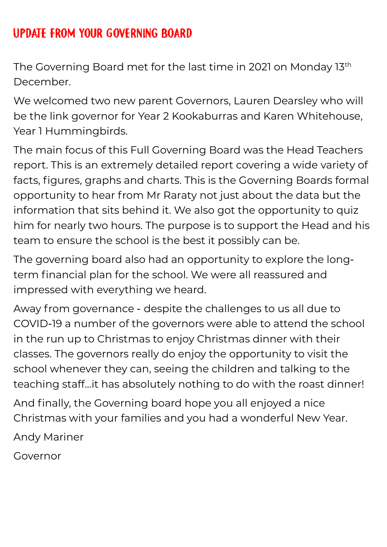# UPDATE FROM YOUR GOVERNING BOARD

The Governing Board met for the last time in 2021 on Monday 13th December.

We welcomed two new parent Governors, Lauren Dearsley who will be the link governor for Year 2 Kookaburras and Karen Whitehouse, Year 1 Hummingbirds.

The main focus of this Full Governing Board was the Head Teachers report. This is an extremely detailed report covering a wide variety of facts, figures, graphs and charts. This is the Governing Boards formal opportunity to hear from Mr Raraty not just about the data but the information that sits behind it. We also got the opportunity to quiz him for nearly two hours. The purpose is to support the Head and his team to ensure the school is the best it possibly can be.

The governing board also had an opportunity to explore the longterm financial plan for the school. We were all reassured and impressed with everything we heard.

Away from governance - despite the challenges to us all due to COVID-19 a number of the governors were able to attend the school in the run up to Christmas to enjoy Christmas dinner with their classes. The governors really do enjoy the opportunity to visit the school whenever they can, seeing the children and talking to the teaching staff…it has absolutely nothing to do with the roast dinner!

And finally, the Governing board hope you all enjoyed a nice Christmas with your families and you had a wonderful New Year.

Andy Mariner

Governor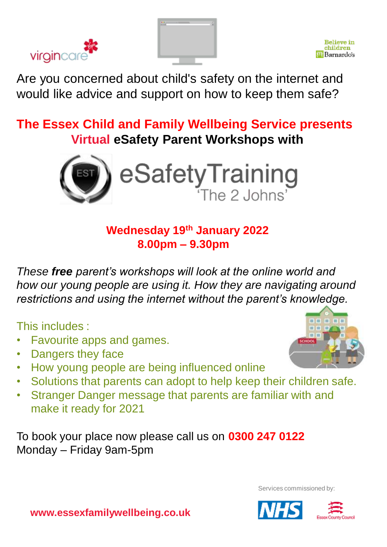



Are you concerned about child's safety on the internet and would like advice and support on how to keep them safe?

**The Essex Child and Family Wellbeing Service presents Virtual eSafety Parent Workshops with** 



## **Wednesday 19th January 2022 8.00pm – 9.30pm**

*These free parent's workshops will look at the online world and how our young people are using it. How they are navigating around restrictions and using the internet without the parent's knowledge.*

This includes :

- Favourite apps and games.
- Dangers they face
- How young people are being influenced online
- Solutions that parents can adopt to help keep their children safe.
- Stranger Danger message that parents are familiar with and make it ready for 2021

To book your place now please call us on **0300 247 0122** Monday – Friday 9am-5pm



Services commissioned by: